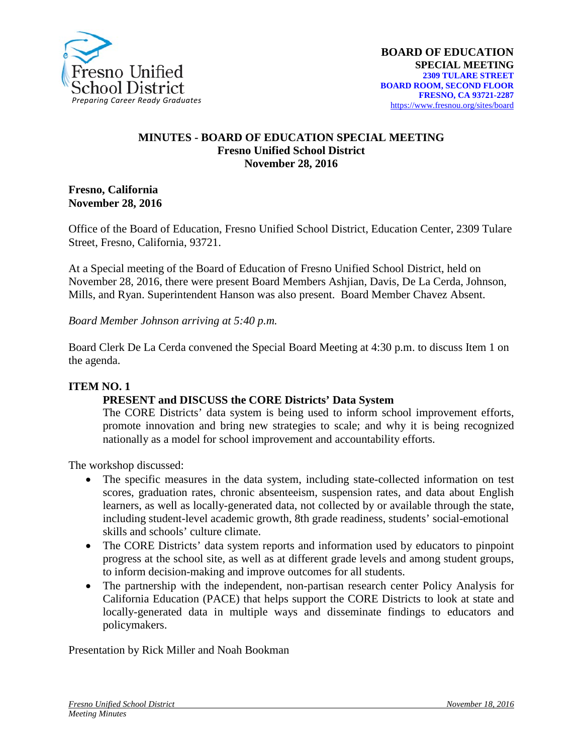

#### **MINUTES - BOARD OF EDUCATION SPECIAL MEETING Fresno Unified School District November 28, 2016**

**Fresno, California November 28, 2016** 

Office of the Board of Education, Fresno Unified School District, Education Center, 2309 Tulare Street, Fresno, California, 93721.

At a Special meeting of the Board of Education of Fresno Unified School District, held on November 28, 2016, there were present Board Members Ashjian, Davis, De La Cerda, Johnson, Mills, and Ryan. Superintendent Hanson was also present. Board Member Chavez Absent.

*Board Member Johnson arriving at 5:40 p.m.*

Board Clerk De La Cerda convened the Special Board Meeting at 4:30 p.m. to discuss Item 1 on the agenda.

### **ITEM NO. 1**

### **PRESENT and DISCUSS the CORE Districts' Data System**

The CORE Districts' data system is being used to inform school improvement efforts, promote innovation and bring new strategies to scale; and why it is being recognized nationally as a model for school improvement and accountability efforts.

The workshop discussed:

- The specific measures in the data system, including state-collected information on test scores, graduation rates, chronic absenteeism, suspension rates, and data about English learners, as well as locally-generated data, not collected by or available through the state, including student-level academic growth, 8th grade readiness, students' social-emotional skills and schools' culture climate.
- The CORE Districts' data system reports and information used by educators to pinpoint progress at the school site, as well as at different grade levels and among student groups, to inform decision-making and improve outcomes for all students.
- The partnership with the independent, non-partisan research center Policy Analysis for California Education (PACE) that helps support the CORE Districts to look at state and locally-generated data in multiple ways and disseminate findings to educators and policymakers.

Presentation by Rick Miller and Noah Bookman